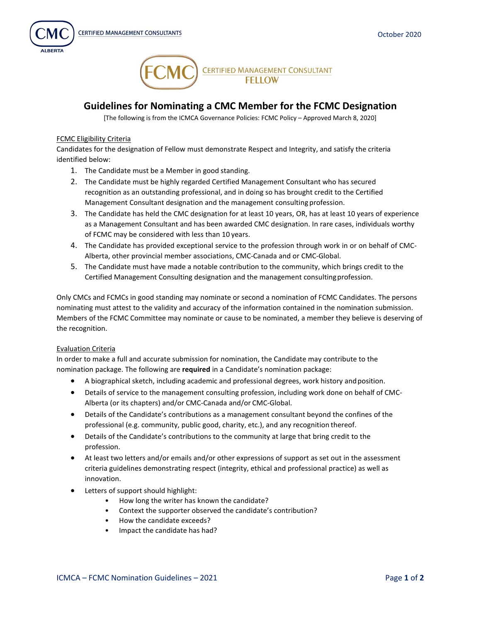



## **Guidelines for Nominating a CMC Member for the FCMC Designation**

[The following is from the ICMCA Governance Policies: FCMC Policy – Approved March 8, 2020]

## FCMC Eligibility Criteria

Candidates for the designation of Fellow must demonstrate Respect and Integrity, and satisfy the criteria identified below:

- 1. The Candidate must be a Member in good standing.
- 2. The Candidate must be highly regarded Certified Management Consultant who has secured recognition as an outstanding professional, and in doing so has brought credit to the Certified Management Consultant designation and the management consulting profession.
- 3. The Candidate has held the CMC designation for at least 10 years, OR, has at least 10 years of experience as a Management Consultant and has been awarded CMC designation. In rare cases, individuals worthy of FCMC may be considered with less than 10 years.
- 4. The Candidate has provided exceptional service to the profession through work in or on behalf of CMC-Alberta, other provincial member associations, CMC-Canada and or CMC-Global.
- 5. The Candidate must have made a notable contribution to the community, which brings credit to the Certified Management Consulting designation and the management consultingprofession.

Only CMCs and FCMCs in good standing may nominate or second a nomination of FCMC Candidates. The persons nominating must attest to the validity and accuracy of the information contained in the nomination submission. Members of the FCMC Committee may nominate or cause to be nominated, a member they believe is deserving of the recognition.

## Evaluation Criteria

In order to make a full and accurate submission for nomination, the Candidate may contribute to the nomination package. The following are **required** in a Candidate's nomination package:

- A biographical sketch, including academic and professional degrees, work history andposition.
- Details of service to the management consulting profession, including work done on behalf of CMC-Alberta (or its chapters) and/or CMC-Canada and/or CMC-Global.
- Details of the Candidate's contributions as a management consultant beyond the confines of the professional (e.g. community, public good, charity, etc.), and any recognition thereof.
- Details of the Candidate's contributions to the community at large that bring credit to the profession.
- At least two letters and/or emails and/or other expressions of support as set out in the assessment criteria guidelines demonstrating respect (integrity, ethical and professional practice) as well as innovation.
- Letters of support should highlight:
	- How long the writer has known the candidate?
	- Context the supporter observed the candidate's contribution?
	- How the candidate exceeds?
	- Impact the candidate has had?